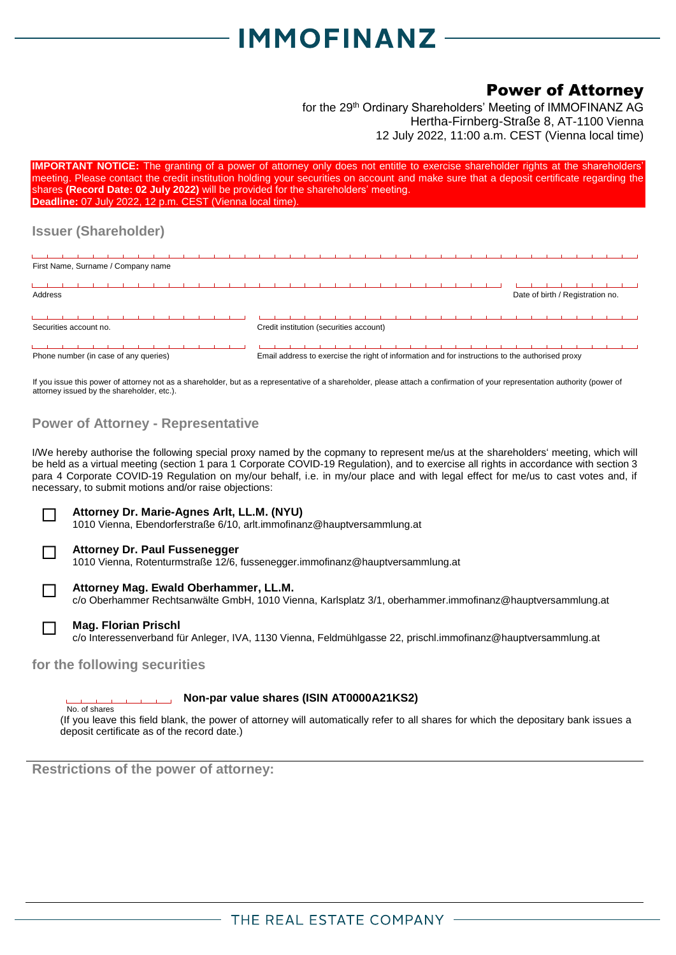# **IMMOFINANZ**

## Power of Attorney

for the 29<sup>th</sup> Ordinary Shareholders' Meeting of IMMOFINANZ AG Hertha-Firnberg-Straße 8, AT-1100 Vienna 12 July 2022, 11:00 a.m. CEST (Vienna local time)

| <b>IMPORTANT NOTICE:</b> The granting of a power of attorney only does not entitle to exercise shareholder rights at the shareholders'<br>meeting. Please contact the credit institution holding your securities on account and make sure that a deposit certificate regarding the<br>shares (Record Date: 02 July 2022) will be provided for the shareholders' meeting.<br>Deadline: 07 July 2022, 12 p.m. CEST (Vienna local time). |                                                                                                 |  |  |  |
|---------------------------------------------------------------------------------------------------------------------------------------------------------------------------------------------------------------------------------------------------------------------------------------------------------------------------------------------------------------------------------------------------------------------------------------|-------------------------------------------------------------------------------------------------|--|--|--|
| <b>Issuer (Shareholder)</b>                                                                                                                                                                                                                                                                                                                                                                                                           |                                                                                                 |  |  |  |
|                                                                                                                                                                                                                                                                                                                                                                                                                                       |                                                                                                 |  |  |  |
| First Name, Surname / Company name                                                                                                                                                                                                                                                                                                                                                                                                    |                                                                                                 |  |  |  |
|                                                                                                                                                                                                                                                                                                                                                                                                                                       |                                                                                                 |  |  |  |
| Address                                                                                                                                                                                                                                                                                                                                                                                                                               | Date of birth / Registration no.                                                                |  |  |  |
|                                                                                                                                                                                                                                                                                                                                                                                                                                       |                                                                                                 |  |  |  |
| Securities account no.                                                                                                                                                                                                                                                                                                                                                                                                                | Credit institution (securities account)                                                         |  |  |  |
|                                                                                                                                                                                                                                                                                                                                                                                                                                       |                                                                                                 |  |  |  |
| Phone number (in case of any queries)                                                                                                                                                                                                                                                                                                                                                                                                 | Email address to exercise the right of information and for instructions to the authorised proxy |  |  |  |

If you issue this power of attorney not as a shareholder, but as a representative of a shareholder, please attach a confirmation of your representation authority (power of attorney issued by the shareholder, etc.).

### **Power of Attorney - Representative**

I/We hereby authorise the following special proxy named by the copmany to represent me/us at the shareholders' meeting, which will be held as a virtual meeting (section 1 para 1 Corporate COVID-19 Regulation), and to exercise all rights in accordance with section 3 para 4 Corporate COVID-19 Regulation on my/our behalf, i.e. in my/our place and with legal effect for me/us to cast votes and, if necessary, to submit motions and/or raise objections:



### **Attorney Dr. Marie-Agnes Arlt, LL.M. (NYU)**

1010 Vienna, Ebendorferstraße 6/10, arlt.immofinanz@hauptversammlung.at



## **Attorney Dr. Paul Fussenegger**

1010 Vienna, Rotenturmstraße 12/6, fussenegger.immofinanz@hauptversammlung.at



#### **Attorney Mag. Ewald Oberhammer, LL.M.**

c/o Oberhammer Rechtsanwälte GmbH, 1010 Vienna, Karlsplatz 3/1, oberhammer.immofinanz@hauptversammlung.at



#### **Mag. Florian Prischl**

c/o Interessenverband für Anleger, IVA, 1130 Vienna, Feldmühlgasse 22, prischl.immofinanz@hauptversammlung.at

### **for the following securities**

#### **Non-par value shares (ISIN AT0000A21KS2)** No. of shares

(If you leave this field blank, the power of attorney will automatically refer to all shares for which the depositary bank issues a deposit certificate as of the record date.)

**Restrictions of the power of attorney:**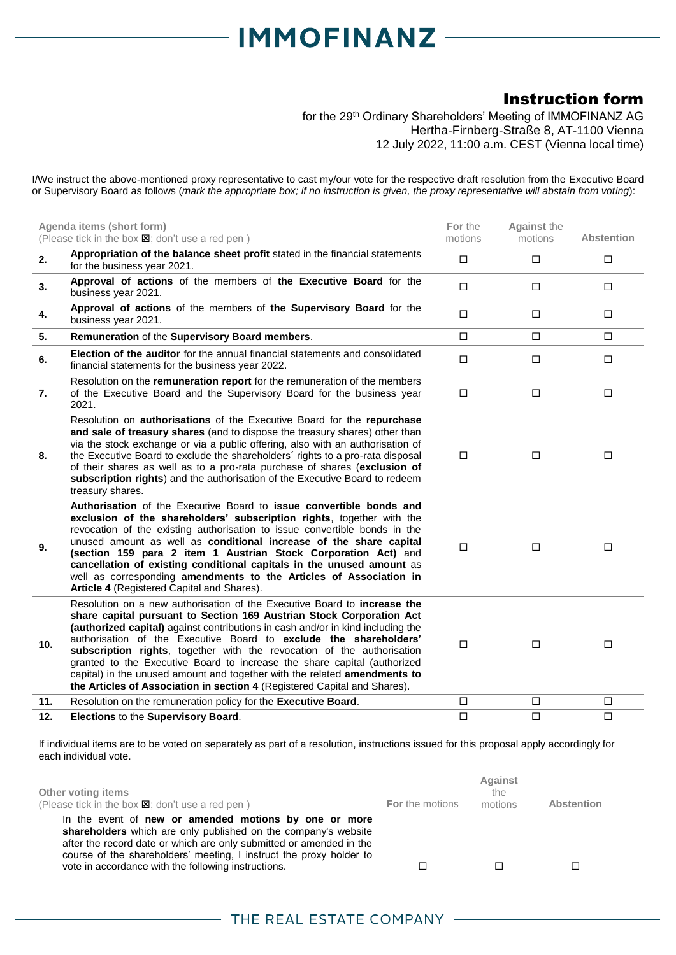# **IMMOFINANZ-**

# Instruction form

for the 29<sup>th</sup> Ordinary Shareholders' Meeting of IMMOFINANZ AG Hertha-Firnberg-Straße 8, AT-1100 Vienna 12 July 2022, 11:00 a.m. CEST (Vienna local time)

I/We instruct the above-mentioned proxy representative to cast my/our vote for the respective draft resolution from the Executive Board or Supervisory Board as follows (*mark the appropriate box; if no instruction is given, the proxy representative will abstain from voting*):

|                 | Agenda items (short form)<br>(Please tick in the box $\boxtimes$ ; don't use a red pen)                                                                                                                                                                                                                                                                                                                                                                                                                                                                                                                                  | For the<br>motions | <b>Against the</b><br>motions | <b>Abstention</b> |
|-----------------|--------------------------------------------------------------------------------------------------------------------------------------------------------------------------------------------------------------------------------------------------------------------------------------------------------------------------------------------------------------------------------------------------------------------------------------------------------------------------------------------------------------------------------------------------------------------------------------------------------------------------|--------------------|-------------------------------|-------------------|
| 2.              | Appropriation of the balance sheet profit stated in the financial statements<br>for the business year 2021.                                                                                                                                                                                                                                                                                                                                                                                                                                                                                                              | $\Box$             | $\Box$                        | $\Box$            |
| 3.              | Approval of actions of the members of the Executive Board for the<br>business year 2021.                                                                                                                                                                                                                                                                                                                                                                                                                                                                                                                                 | $\Box$             | $\Box$                        | $\Box$            |
| 4.              | Approval of actions of the members of the Supervisory Board for the<br>business year 2021.                                                                                                                                                                                                                                                                                                                                                                                                                                                                                                                               | $\Box$             | $\Box$                        | $\Box$            |
| 5.              | Remuneration of the Supervisory Board members.                                                                                                                                                                                                                                                                                                                                                                                                                                                                                                                                                                           | $\Box$             | $\Box$                        | $\Box$            |
| 6.              | Election of the auditor for the annual financial statements and consolidated<br>financial statements for the business year 2022.                                                                                                                                                                                                                                                                                                                                                                                                                                                                                         | $\Box$             | $\Box$                        | $\Box$            |
| 7.              | Resolution on the remuneration report for the remuneration of the members<br>of the Executive Board and the Supervisory Board for the business year<br>2021.                                                                                                                                                                                                                                                                                                                                                                                                                                                             | $\Box$             | $\Box$                        | $\Box$            |
| 8.              | Resolution on authorisations of the Executive Board for the repurchase<br>and sale of treasury shares (and to dispose the treasury shares) other than<br>via the stock exchange or via a public offering, also with an authorisation of<br>the Executive Board to exclude the shareholders' rights to a pro-rata disposal<br>of their shares as well as to a pro-rata purchase of shares (exclusion of<br>subscription rights) and the authorisation of the Executive Board to redeem<br>treasury shares.                                                                                                                | $\Box$             | □                             | $\Box$            |
| 9.              | Authorisation of the Executive Board to issue convertible bonds and<br>exclusion of the shareholders' subscription rights, together with the<br>revocation of the existing authorisation to issue convertible bonds in the<br>unused amount as well as conditional increase of the share capital<br>(section 159 para 2 item 1 Austrian Stock Corporation Act) and<br>cancellation of existing conditional capitals in the unused amount as<br>well as corresponding amendments to the Articles of Association in<br>Article 4 (Registered Capital and Shares).                                                          | $\Box$             | □                             | $\Box$            |
| 10 <sub>1</sub> | Resolution on a new authorisation of the Executive Board to increase the<br>share capital pursuant to Section 169 Austrian Stock Corporation Act<br>(authorized capital) against contributions in cash and/or in kind including the<br>authorisation of the Executive Board to exclude the shareholders'<br>subscription rights, together with the revocation of the authorisation<br>granted to the Executive Board to increase the share capital (authorized<br>capital) in the unused amount and together with the related amendments to<br>the Articles of Association in section 4 (Registered Capital and Shares). | $\Box$             | □                             | $\Box$            |
| 11.             | Resolution on the remuneration policy for the Executive Board.                                                                                                                                                                                                                                                                                                                                                                                                                                                                                                                                                           | $\Box$             | $\Box$                        | $\Box$            |
| 12.             | Elections to the Supervisory Board.                                                                                                                                                                                                                                                                                                                                                                                                                                                                                                                                                                                      | □                  | □                             | $\Box$            |

If individual items are to be voted on separately as part of a resolution, instructions issued for this proposal apply accordingly for each individual vote.

| Other voting items<br>(Please tick in the box $\boxtimes$ ; don't use a red pen)                                                                                                                                                                                                                                             | <b>For</b> the motions | <b>Against</b><br>the<br>motions | Abstention |
|------------------------------------------------------------------------------------------------------------------------------------------------------------------------------------------------------------------------------------------------------------------------------------------------------------------------------|------------------------|----------------------------------|------------|
| In the event of new or amended motions by one or more<br>shareholders which are only published on the company's website<br>after the record date or which are only submitted or amended in the<br>course of the shareholders' meeting, I instruct the proxy holder to<br>vote in accordance with the following instructions. |                        |                                  |            |